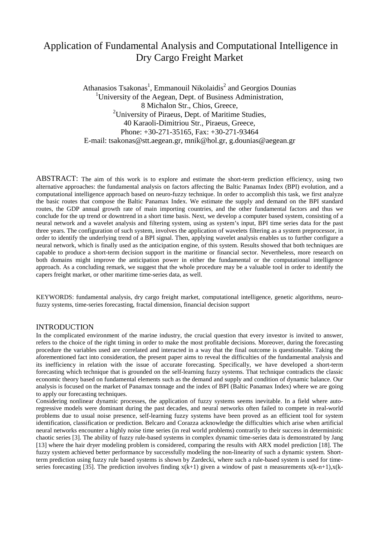# Application of Fundamental Analysis and Computational Intelligence in Dry Cargo Freight Market

Athanasios Tsakonas<sup>1</sup>, Emmanouil Nikolaidis<sup>2</sup> and Georgios Dounias <sup>1</sup>University of the Aegean, Dept. of Business Administration, 8 Michalon Str., Chios, Greece, <sup>2</sup> University of Piraeus, Dept. of Maritime Studies, 40 Karaoli-Dimitriou Str., Piraeus, Greece, Phone: +30-271-35165, Fax: +30-271-93464 E-mail: tsakonas@stt.aegean.gr, mnik@hol.gr, g.dounias@aegean.gr

ABSTRACT: The aim of this work is to explore and estimate the short-term prediction efficiency, using two alternative approaches: the fundamental analysis on factors affecting the Baltic Panamax Index (BPI) evolution, and a computational intelligence approach based on neuro-fuzzy technique. In order to accomplish this task, we first analyze the basic routes that compose the Baltic Panamax Index. We estimate the supply and demand on the BPI standard routes, the GDP annual growth rate of main importing countries, and the other fundamental factors and thus we conclude for the up trend or downtrend in a short time basis. Next, we develop a computer based system, consisting of a neural network and a wavelet analysis and filtering system, using as system's input, BPI time series data for the past three years. The configuration of such system, involves the application of wavelets filtering as a system preprocessor, in order to identify the underlying trend of a BPI signal. Then, applying wavelet analysis enables us to further configure a neural network, which is finally used as the anticipation engine, of this system. Results showed that both techniques are capable to produce a short-term decision support in the maritime or financial sector. Nevertheless, more research on both domains might improve the anticipation power in either the fundamental or the computational intelligence approach. As a concluding remark, we suggest that the whole procedure may be a valuable tool in order to identify the capers freight market, or other maritime time-series data, as well.

KEYWORDS: fundamental analysis, dry cargo freight market, computational intelligence, genetic algorithms, neurofuzzy systems, time-series forecasting, fractal dimension, financial decision support

### INTRODUCTION

In the complicated environment of the marine industry, the crucial question that every investor is invited to answer, refers to the choice of the right timing in order to make the most profitable decisions. Moreover, during the forecasting procedure the variables used are correlated and interacted in a way that the final outcome is questionable. Taking the aforementioned fact into consideration, the present paper aims to reveal the difficulties of the fundamental analysis and its inefficiency in relation with the issue of accurate forecasting. Specifically, we have developed a short-term forecasting which technique that is grounded on the self-learning fuzzy systems. That technique contradicts the classic economic theory based on fundamental elements such as the demand and supply and condition of dynamic balance. Our analysis is focused on the market of Panamax tonnage and the index of BPI (Baltic Panamax Index) where we are going to apply our forecasting techniques.

Considering nonlinear dynamic processes, the application of fuzzy systems seems inevitable. In a field where autoregressive models were dominant during the past decades, and neural networks often failed to compete in real-world problems due to usual noise presence, self-learning fuzzy systems have been proved as an efficient tool for system identification, classification or prediction. Belcaro and Corazza acknowledge the difficulties which arise when artificial neural networks encounter a highly noise time series (in real world problems) contrarily to their success in deterministic chaotic series [3]. The ability of fuzzy rule-based systems in complex dynamic time-series data is demonstrated by Jang [13] where the hair dryer modeling problem is considered, comparing the results with ARX model prediction [18]. The fuzzy system achieved better performance by successfully modeling the non-linearity of such a dynamic system. Shortterm prediction using fuzzy rule based systems is shown by Zardecki, where such a rule-based system is used for timeseries forecasting [35]. The prediction involves finding  $x(k+1)$  given a window of past n measurements  $x(k-n+1),x(k-1)$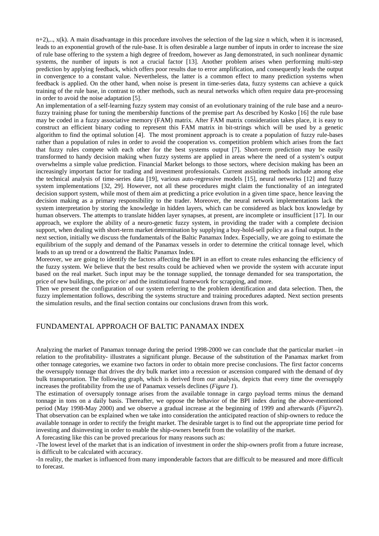$n+2,..., x(k)$ . A main disadvantage in this procedure involves the selection of the lag size n which, when it is increased, leads to an exponential growth of the rule-base. It is often desirable a large number of inputs in order to increase the size of rule base offering to the system a high degree of freedom, however as Jang demonstrated, in such nonlinear dynamic systems, the number of inputs is not a crucial factor [13]. Another problem arises when performing multi-step prediction by applying feedback, which offers poor results due to error amplification, and consequently leads the output in convergence to a constant value. Nevertheless, the latter is a common effect to many prediction systems when feedback is applied. On the other hand, when noise is present in time-series data, fuzzy systems can achieve a quick training of the rule base, in contrast to other methods, such as neural networks which often require data pre-processing in order to avoid the noise adaptation [5].

An implementation of a self-learning fuzzy system may consist of an evolutionary training of the rule base and a neurofuzzy training phase for tuning the membership functions of the premise part As described by Kosko [16] the rule base may be coded in a fuzzy associative memory (FAM) matrix. After FAM matrix consideration takes place, it is easy to construct an efficient binary coding to represent this FAM matrix in bit-strings which will be used by a genetic algorithm to find the optimal solution [4]. The most prominent approach is to create a population of fuzzy rule-bases rather than a population of rules in order to avoid the cooperation vs. competition problem which arises from the fact that fuzzy rules compete with each other for the best systems output [7]. Short-term prediction may be easily transformed to handy decision making when fuzzy systems are applied in areas where the need of a system's output overwhelms a simple value prediction. Financial Market belongs to those sectors, where decision making has been an increasingly important factor for trading and investment professionals. Current assisting methods include among else the technical analysis of time-series data [19], various auto-regressive models [15], neural networks [12] and fuzzy system implementations [32, 29]. However, not all these procedures might claim the functionality of an integrated decision support system, while most of them aim at predicting a price evolution in a given time space, hence leaving the decision making as a primary responsibility to the trader. Moreover, the neural network implementations lack the system interpretation by storing the knowledge in hidden layers, which can be considered as black box knowledge by human observers. The attempts to translate hidden layer synapses, at present, are incomplete or insufficient [17]. In our approach, we explore the ability of a neuro-genetic fuzzy system, in providing the trader with a complete decision support, when dealing with short-term market determination by supplying a buy-hold-sell policy as a final output. In the next section, initially we discuss the fundamentals of the Baltic Panamax Index. Especially, we are going to estimate the equilibrium of the supply and demand of the Panamax vessels in order to determine the critical tonnage level, which leads to an up trend or a downtrend the Baltic Panamax Index.

Moreover, we are going to identify the factors affecting the BPI in an effort to create rules enhancing the efficiency of the fuzzy system. We believe that the best results could be achieved when we provide the system with accurate input based on the real market. Such input may be the tonnage supplied, the tonnage demanded for sea transportation, the price of new buildings, the price or/ and the institutional framework for scrapping, and more.

Then we present the configuration of our system referring to the problem identification and data selection. Then, the fuzzy implementation follows, describing the systems structure and training procedures adapted. Next section presents the simulation results, and the final section contains our conclusions drawn from this work.

### FUNDAMENTAL APPROACH OF BALTIC PANAMAX INDEX

Analyzing the market of Panamax tonnage during the period 1998-2000 we can conclude that the particular market –in relation to the profitability- illustrates a significant plunge. Because of the substitution of the Panamax market from other tonnage categories, we examine two factors in order to obtain more precise conclusions. The first factor concerns the oversupply tonnage that drives the dry bulk market into a recession or ascension compared with the demand of dry bulk transportation. The following graph, which is derived from our analysis, depicts that every time the oversupply increases the profitability from the use of Panamax vessels declines (*Figure 1*).

The estimation of oversupply tonnage arises from the available tonnage in cargo payload terms minus the demand tonnage in tons on a daily basis. Thereafter, we oppose the behavior of the BPI index during the above-mentioned period (May 1998-May 2000) and we observe a gradual increase at the beginning of 1999 and afterwards (*Figure2*). That observation can be explained when we take into consideration the anticipated reaction of ship-owners to reduce the available tonnage in order to rectify the freight market. The desirable target is to find out the appropriate time period for investing and disinvesting in order to enable the ship-owners benefit from the volatility of the market.

A forecasting like this can be proved precarious for many reasons such as:

-The lowest level of the market that is an indication of investment in order the ship-owners profit from a future increase, is difficult to be calculated with accuracy.

-In reality, the market is influenced from many imponderable factors that are difficult to be measured and more difficult to forecast.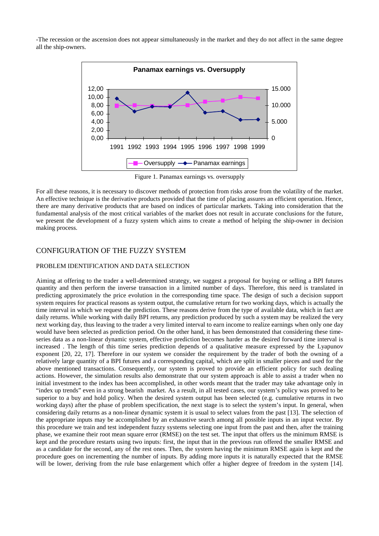-The recession or the ascension does not appear simultaneously in the market and they do not affect in the same degree all the ship-owners.



Figure 1. Panamax earnings vs. oversupply

For all these reasons, it is necessary to discover methods of protection from risks arose from the volatility of the market. An effective technique is the derivative products provided that the time of placing assures an efficient operation. Hence, there are many derivative products that are based on indices of particular markets. Taking into consideration that the fundamental analysis of the most critical variables of the market does not result in accurate conclusions for the future, we present the development of a fuzzy system which aims to create a method of helping the ship-owner in decision making process.

### CONFIGURATION OF THE FUZZY SYSTEM

#### PROBLEM IDENTIFICATION AND DATA SELECTION

Aiming at offering to the trader a well-determined strategy, we suggest a proposal for buying or selling a BPI futures quantity and then perform the inverse transaction in a limited number of days. Therefore, this need is translated in predicting approximately the price evolution in the corresponding time space. The design of such a decision support system requires for practical reasons as system output, the cumulative return for two working days, which is actually the time interval in which we request the prediction. These reasons derive from the type of available data, which in fact are daily returns. While working with daily BPI returns, any prediction produced by such a system may be realized the very next working day, thus leaving to the trader a very limited interval to earn income to realize earnings when only one day would have been selected as prediction period. On the other hand, it has been demonstrated that considering these timeseries data as a non-linear dynamic system, effective prediction becomes harder as the desired forward time interval is increased . The length of this time series prediction depends of a qualitative measure expressed by the Lyapunov exponent [20, 22, 17]. Therefore in our system we consider the requirement by the trader of both the owning of a relatively large quantity of a BPI futures and a corresponding capital, which are split in smaller pieces and used for the above mentioned transactions. Consequently, our system is proved to provide an efficient policy for such dealing actions. However, the simulation results also demonstrate that our system approach is able to assist a trader when no initial investment to the index has been accomplished, in other words meant that the trader may take advantage only in "index up trends" even in a strong bearish market. As a result, in all tested cases, our system's policy was proved to be superior to a buy and hold policy. When the desired system output has been selected (e.g. cumulative returns in two working days) after the phase of problem specification, the next stage is to select the system's input. In general, when considering daily returns as a non-linear dynamic system it is usual to select values from the past [13]. The selection of the appropriate inputs may be accomplished by an exhaustive search among all possible inputs in an input vector. By this procedure we train and test independent fuzzy systems selecting one input from the past and then, after the training phase, we examine their root mean square error (RMSE) on the test set. The input that offers us the minimum RMSE is kept and the procedure restarts using two inputs: first, the input that in the previous run offered the smaller RMSE and as a candidate for the second, any of the rest ones. Then, the system having the minimum RMSE again is kept and the procedure goes on incrementing the number of inputs. By adding more inputs it is naturally expected that the RMSE will be lower, deriving from the rule base enlargement which offer a higher degree of freedom in the system [14].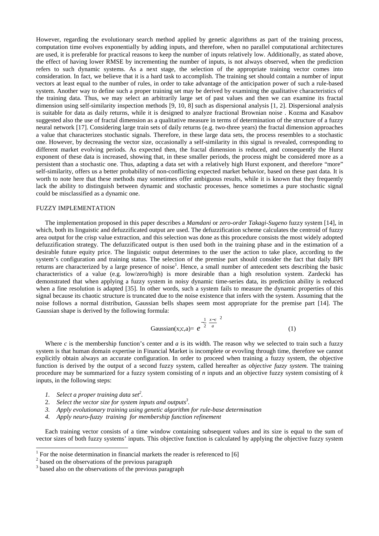However, regarding the evolutionary search method applied by genetic algorithms as part of the training process, computation time evolves exponentially by adding inputs, and therefore, when no parallel computational architectures are used, it is preferable for practical reasons to keep the number of inputs relatively low. Additionally, as stated above, the effect of having lower RMSE by incrementing the number of inputs, is not always observed, when the prediction refers to such dynamic systems. As a next stage, the selection of the appropriate training vector comes into consideration. In fact, we believe that it is a hard task to accomplish. The training set should contain a number of input vectors at least equal to the number of rules, in order to take advantage of the anticipation power of such a rule-based system. Another way to define such a proper training set may be derived by examining the qualitative characteristics of the training data. Thus, we may select an arbitrarily large set of past values and then we can examine its fractal dimension using self-similarity inspection methods [9, 10, 8] such as dispersional analysis [1, 2]. Dispersional analysis is suitable for data as daily returns, while it is designed to analyze fractional Brownian noise . Kozma and Kasabov suggested also the use of fractal dimension as a qualitative measure in terms of determination of the structure of a fuzzy neural network [17]. Considering large train sets of daily returns (e.g. two-three years) the fractal dimension approaches a value that characterizes stochastic signals. Therefore, in these large data sets, the process resembles to a stochastic one. However, by decreasing the vector size, occasionally a self-similarity in this signal is revealed, corresponding to different market evolving periods. As expected then, the fractal dimension is reduced, and consequently the Hurst exponent of these data is increased, showing that, in these smaller periods, the process might be considered more as a persistent than a stochastic one. Thus, adapting a data set with a relatively high Hurst exponent, and therefore "more" self-similarity, offers us a better probability of non-conflicting expected market behavior, based on these past data. It is worth to note here that these methods may sometimes offer ambiguous results, while it is known that they frequently lack the ability to distinguish between dynamic and stochastic processes, hence sometimes a pure stochastic signal could be misclassified as a dynamic one.

#### FUZZY IMPLEMENTATION

The implementation proposed in this paper describes a *Mamdani* or *zero-order Takagi-Sugeno* fuzzy system [14], in which, both its linguistic and defuzzificated output are used. The defuzzification scheme calculates the centroid of fuzzy area output for the crisp value extraction, and this selection was done as this procedure consists the most widely adopted defuzzification strategy. The defuzzificated output is then used both in the training phase and in the estimation of a desirable future equity price. The linguistic output determines to the user the action to take place, according to the system's configuration and training status. The selection of the premise part should consider the fact that daily BPI returns are characterized by a large presence of noise<sup>1</sup>. Hence, a small number of antecedent sets describing the basic characteristics of a value (e.g. low/zero/high) is more desirable than a high resolution system. Zardecki has demonstrated that when applying a fuzzy system in noisy dynamic time-series data, its prediction ability is reduced when a fine resolution is adapted [35]. In other words, such a system fails to measure the dynamic properties of this signal because its chaotic structure is truncated due to the noise existence that infers with the system. Assuming that the noise follows a normal distribution, Gaussian bells shapes seem most appropriate for the premise part [14]. The Gaussian shape is derived by the following formula:

Gaussian(x;c,a)= 
$$
e^{-\frac{1}{2}\left(\frac{x-c}{a}\right)^2}
$$
 (1)

Where  $c$  is the membership function's center and  $a$  is its width. The reason why we selected to train such a fuzzy system is that human domain expertise in Financial Market is incomplete or evovling through time, therefore we cannot explicitly obtain always an accurate configuration. In order to proceed when training a fuzzy system, the objective function is derived by the output of a second fuzzy system, called hereafter as *objective fuzzy system.* The training procedure may be summarized for a fuzzy system consisting of *n* inputs and an objective fuzzy system consisting of *k* inputs, in the following steps:

1. Select a proper training data set<sup>2</sup>.

 $\overline{\phantom{a}}$ 

- 2. Select the vector size for system inputs and outputs<sup>3</sup>.
- *3. Apply evolutionary training using genetic algorithm for rule-base determination*
- *4. Apply neuro-fuzzy training for membership function refinement*

Each training vector consists of a time window containing subsequent values and its size is equal to the sum of vector sizes of both fuzzy systems' inputs. This objective function is calculated by applying the objective fuzzy system

<sup>1</sup> For the noise determination in financial markets the reader is referenced to [6]

 $2<sup>2</sup>$  based on the observations of the previous paragraph

<sup>&</sup>lt;sup>3</sup> based also on the observations of the previous paragraph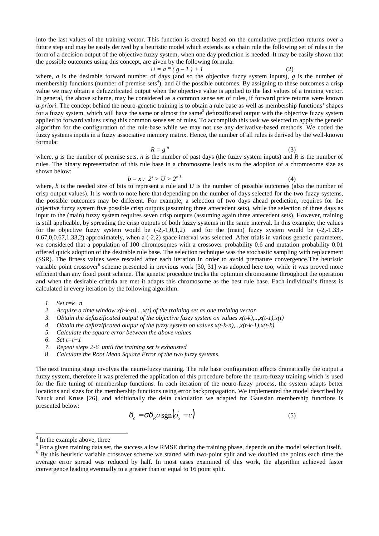into the last values of the training vector. This function is created based on the cumulative prediction returns over a future step and may be easily derived by a heuristic model which extends as a chain rule the following set of rules in the form of a decision output of the objective fuzzy system, when one day prediction is needed. It may be easily shown that the possible outcomes using this concept, are given by the following formula:

$$
U = a * (g - 1) + 1 \tag{2}
$$

where, *a* is the desirable forward number of days (and so the objective fuzzy system inputs), *g* is the number of membership functions (number of premise sets<sup>4</sup>), and  $U$  the possible outcomes. By assigning to these outcomes a crisp value we may obtain a defuzzificated output when the objective value is applied to the last values of a training vector. In general, the above scheme, may be considered as a common sense set of rules, if forward price returns were known *a-priori*. The concept behind the neuro-genetic training is to obtain a rule base as well as membership functions' shapes for a fuzzy system, which will have the same or almost the same<sup>5</sup> defuzzificated output with the objective fuzzy system applied to forward values using this common sense set of rules. To accomplish this task we selected to apply the genetic algorithm for the configuration of the rule-base while we may not use any derivative-based methods. We coded the fuzzy systems inputs in a fuzzy associative memory matrix. Hence, the number of all rules is derived by the well-known formula:

 $R = g^n$  (3)

where, *g* is the number of premise sets, *n* is the number of past days (the fuzzy system inputs) and *R* is the number of rules. The binary representation of this rule base in a chromosome leads us to the adoption of a chromosome size as shown below:

 $b = x : 2<sup>x</sup> > U > 2<sup>x-1</sup>$  (4)

where, *b* is the needed size of bits to represent a rule and *U* is the number of possible outcomes (also the number of crisp output values). It is worth to note here that depending on the number of days selected for the two fuzzy systems, the possible outcomes may be different. For example, a selection of two days ahead prediction, requires for the objective fuzzy system five possible crisp outputs (assuming three antecedent sets), while the selection of three days as input to the (main) fuzzy system requires seven crisp outputs (assuming again three antecedent sets). However, training is still applicable, by spreading the crisp outputs of both fuzzy systems in the same interval. In this example, the values for the objective fuzzy system would be  $(-2,-1,0,1,2)$  and for the (main) fuzzy system would be  $(-2,-1,33,-1)$  $0.67,0,0.67,1.33,2$  approximately, when a  $(-2,2)$  space interval was selected. After trials in various genetic parameters, we considered that a population of 100 chromosomes with a crossover probability 0.6 and mutation probability 0.01 offered quick adoption of the desirable rule base. The selection technique was the stochastic sampling with replacement (SSR). The fitness values were rescaled after each iteration in order to avoid premature convergence.The heuristic variable point crossover<sup>6</sup> scheme presented in previous work [30, 31] was adopted here too, while it was proved more efficient than any fixed point scheme. The genetic procedure tracks the optimum chromosome throughout the operation and when the desirable criteria are met it adapts this chromosome as the best rule base. Each individual's fitness is calculated in every iteration by the following algorithm:

- *1. Set t=k+n*
- *2. Acquire a time window x(t-k-n),..,x(t) of the training set as one training vector*
- *3. Obtain the defuzzificated output of the objective fuzzy system on values x(t-k),..,x(t-1),x(t)*
- *4. Obtain the defuzzificated output of the fuzzy system on values x(t-k-n),..,x(t-k-1),x(t-k)*
- *5. Calculate the square error between the above values*
- *6. Set t=t+1*
- *7. Repeat steps 2-6 until the training set is exhausted*
- 8. *Calculate the Root Mean Square Error of the two fuzzy systems.*

The next training stage involves the neuro-fuzzy training. The rule base configuration affects dramatically the output a fuzzy system, therefore it was preferred the application of this procedure before the neuro-fuzzy training which is used for the fine tuning of membership functions. In each iteration of the neuro-fuzzy process, the system adapts better locations and sizes for the membership functions using error backpropagation. We implemented the model described by Nauck and Kruse [26], and additionally the delta calculation we adapted for Gaussian membership functions is presented below:

$$
\delta_c = \sigma \delta_R a \operatorname{sgn}(o_x - c) \tag{5}
$$

 $\overline{\phantom{a}}$ 

<sup>&</sup>lt;sup>4</sup> In the example above, three

 $<sup>5</sup>$  For a given training data set, the success a low RMSE during the training phase, depends on the model selection itself.</sup>

<sup>&</sup>lt;sup>6</sup> By this heuristic variable crossover scheme we started with two-point split and we doubled the points each time the average error spread was reduced by half. In most cases examined of this work, the algorithm achieved faster convergence leading eventually to a greater than or equal to 16 point split.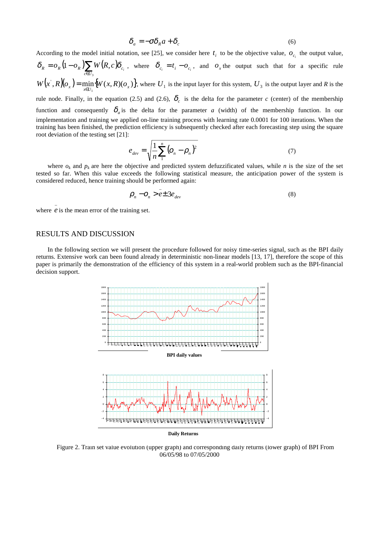$$
\delta_a = -\sigma \delta_R a + \delta_c \tag{6}
$$

According to the model initial notation, see [25], we consider here  $t_i$  to be the objective value,  $o_{c_i}$  the output value,

 $= o_R (1 - o_R) \sum_{c \in U_3} W(R, c)$ 3  $\delta_R = o_R (1 - o_R) \sum_{c \in U_3} W(R, c) \delta_{c_i}$ , where  $\delta_{c_i} = t_i - o_{c_i}$ , and  $o_x$  the output such that for a specific rule  $(x', R)(o_x) = \min_{x \in U_1} \{ W(x, R)(o_x) \}$  $W(x', R)(o_x) = \min_{x \in U_1} \{W(x, R)(o_x)\},$  where  $U_1$  is the input layer for this system,  $U_3$  is the output layer and *R* is the

rule node. Finally, in the equation (2.5) and (2.6),  $\delta_c$  is the delta for the parameter *c* (center) of the membership function and consequently  $\delta_a$  is the delta for the parameter *a* (width) of the membership function. In our implementation and training we applied on-line training process with learning rate 0.0001 for 100 iterations. When the training has been finished, the prediction efficiency is subsequently checked after each forecasting step using the square root deviation of the testing set [21]:

$$
e_{dev} = \sqrt{\frac{1}{n} \sum_{1}^{n} (o_n - \rho_n)^2}
$$
 (7)

where  $o_k$  and  $p_k$  are here the objective and predicted system defuzzificated values, while *n* is the size of the set tested so far. When this value exceeds the following statistical measure, the anticipation power of the system is considered reduced, hence training should be performed again:

$$
\rho_n - o_n > e^{\pm 3e_{dev}} \tag{8}
$$

where  $e$  is the mean error of the training set.

### RESULTS AND DISCUSSION

\_

In the following section we will present the procedure followed for noisy time-series signal, such as the BPI daily returns. Extensive work can been found already in deterministic non-linear models [13, 17], therefore the scope of this paper is primarily the demonstration of the efficiency of this system in a real-world problem such as the BPI-financial decision support.



**Daily Returns**

Figure 2. Train set value evolution (upper graph) and corresponding daily returns (lower graph) of BPI From 06/05/98 to 07/05/2000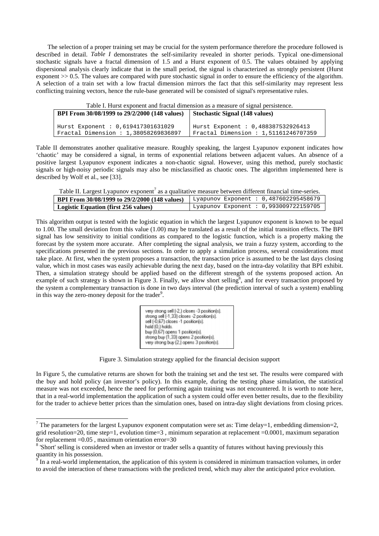The selection of a proper training set may be crucial for the system performance therefore the procedure followed is described in detail. *Table I* demonstrates the self-similarity revealed in shorter periods. Typical one-dimensional stochastic signals have a fractal dimension of 1.5 and a Hurst exponent of 0.5. The values obtained by applying dispersional analysis clearly indicate that in the small period, the signal is characterized as strongly persistent (Hurst exponent  $> 0.5$ . The values are compared with pure stochastic signal in order to ensure the efficiency of the algorithm. A selection of a train set with a low fractal dimension mirrors the fact that this self-similarity may represent less conflicting training vectors, hence the rule-base generated will be consisted of signal's representative rules.

Table I. Hurst exponent and fractal dimension as a measure of signal persistence. **BPI From 30/08/1999 to 29/2/2000 (148 values)** Hurst Exponent : 0,619417301631029 Fractal Dimension : 1,38058269836897 **Stochastic Signal (148 values)** Hurst Exponent : 0,488387532926413 Fractal Dimension : 1,51161246707359

Table II demonstrates another qualitative measure. Roughly speaking, the largest Lyapunov exponent indicates how 'chaotic' may be considered a signal, in terms of exponential relations between adjacent values. An absence of a positive largest Lyapunov exponent indicates a non-chaotic signal. However, using this method, purely stochastic signals or high-noisy periodic signals may also be misclassified as chaotic ones. The algorithm implemented here is described by Wolf et al., see [33].

| Table II. Largest Lyapunov exponent' as a qualitative measure between different financial time-series. |  |
|--------------------------------------------------------------------------------------------------------|--|
|                                                                                                        |  |
|                                                                                                        |  |

| BPI From 30/08/1999 to 29/2/2000 (148 values) | Lyapunov Exponent : $0,487602295458679$ |
|-----------------------------------------------|-----------------------------------------|
| Logistic Equation (first 256 values)          | Lyapunov Exponent : 0,993009722159705   |

This algorithm output is tested with the logistic equation in which the largest Lyapunov exponent is known to be equal to 1.00. The small deviation from this value (1.00) may be translated as a result of the initial transition effects. The BPI signal has low sensitivity to initial conditions as compared to the logistic function, which is a property making the forecast by the system more accurate. After completing the signal analysis, we train a fuzzy system, according to the specifications presented in the previous sections. In order to apply a simulation process, several considerations must take place. At first, when the system proposes a transaction, the transaction price is assumed to be the last days closing value, which in most cases was easily achievable during the next day, based on the intra-day volatility that BPI exhibit. Then, a simulation strategy should be applied based on the different strength of the systems proposed action. An example of such strategy is shown in Figure 3. Finally, we allow short selling<sup>8</sup>, and for every transaction proposed by the system a complementary transaction is done in two days interval (the prediction interval of such a system) enabling in this way the zero-money deposit for the trader<sup>9</sup>.

| very strong sell [-2.] closes -3 position[s]. |
|-----------------------------------------------|
| strong sell [-1,33] closes -2 position[s].    |
| sell (-0,67) closes -1 position(s).           |
| hold (0,) holds.                              |
| buy (0,67) opens 1 position(s).               |
| strong buy [1.33] opens 2 position[s].        |
| very strong buy [2,] opens 3 position[s].     |

Figure 3. Simulation strategy applied for the financial decision support

In Figure 5, the cumulative returns are shown for both the training set and the test set. The results were compared with the buy and hold policy (an investor's policy). In this example, during the testing phase simulation, the statistical measure was not exceeded, hence the need for performing again training was not encountered. It is worth to note here, that in a real-world implementation the application of such a system could offer even better results, due to the flexibility for the trader to achieve better prices than the simulation ones, based on intra-day slight deviations from closing prices.

<sup>&</sup>lt;sup>7</sup> The parameters for the largest Lyapunov exponent computation were set as: Time delay=1, embedding dimension=2, grid resolution=20, time step=1, evolution time=3 , minimum separation at replacement =0.0001, maximum separation for replacement  $=0.05$ , maximum orientation error=30

 $8$  Short' selling is considered when an investor or trader sells a quantity of futures without having previously this quantity in his possession.<br><sup>9</sup> In a real-world implementation, the application of this system is considered in minimum transaction volumes, in order

to avoid the interaction of these transactions with the predicted trend, which may alter the anticipated price evolution.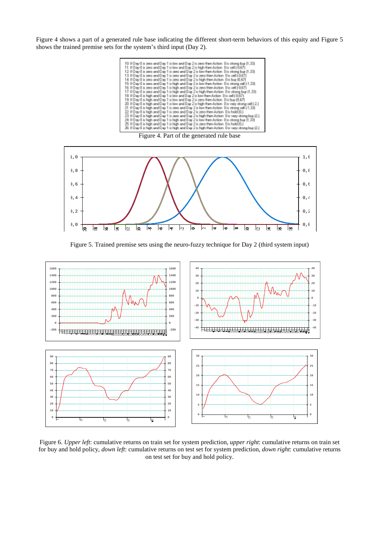Figure 4 shows a part of a generated rule base indicating the different short-term behaviors of this equity and Figure 5 shows the trained premise sets for the system's third input (Day 2).







Figure 5. Trained premise sets using the neuro-fuzzy technique for Day 2 (third system input)



Figure 6. *Upper left*: cumulative returns on train set for system prediction, *upper right*: cumulative returns on train set for buy and hold policy, *down left*: cumulative returns on test set for system prediction, *down right*: cumulative returns on test set for buy and hold policy.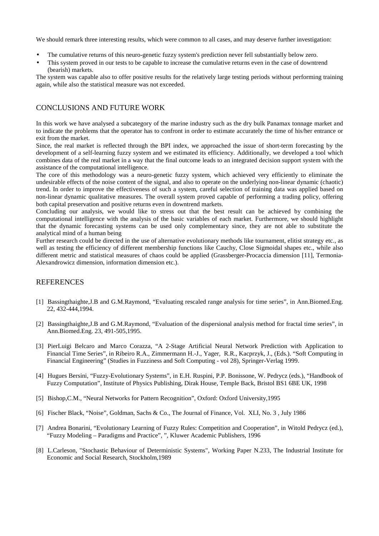We should remark three interesting results, which were common to all cases, and may deserve further investigation:

- The cumulative returns of this neuro-genetic fuzzy system's prediction never fell substantially below zero.
- This system proved in our tests to be capable to increase the cumulative returns even in the case of downtrend (bearish) markets.

The system was capable also to offer positive results for the relatively large testing periods without performing training again, while also the statistical measure was not exceeded.

## CONCLUSIONS AND FUTURE WORK

In this work we have analysed a subcategory of the marine industry such as the dry bulk Panamax tonnage market and to indicate the problems that the operator has to confront in order to estimate accurately the time of his/her entrance or exit from the market.

Since, the real market is reflected through the BPI index, we approached the issue of short-term forecasting by the development of a self-learning fuzzy system and we estimated its efficiency. Additionally, we developed a tool which combines data of the real market in a way that the final outcome leads to an integrated decision support system with the assistance of the computational intelligence.

The core of this methodology was a neuro-genetic fuzzy system, which achieved very efficiently to eliminate the undesirable effects of the noise content of the signal, and also to operate on the underlying non-linear dynamic (chaotic) trend. In order to improve the effectiveness of such a system, careful selection of training data was applied based on non-linear dynamic qualitative measures. The overall system proved capable of performing a trading policy, offering both capital preservation and positive returns even in downtrend markets.

Concluding our analysis, we would like to stress out that the best result can be achieved by combining the computational intelligence with the analysis of the basic variables of each market. Furthermore, we should highlight that the dynamic forecasting systems can be used only complementary since, they are not able to substitute the analytical mind of a human being

Further research could be directed in the use of alternative evolutionary methods like tournament, elitist strategy etc., as well as testing the efficiency of different membership functions like Cauchy, Close Sigmoidal shapes etc., while also different metric and statistical measures of chaos could be applied (Grassberger-Procaccia dimension [11], Termonia-Alexandrowicz dimension, information dimension etc.).

# **REFERENCES**

- [1] Bassingthaighte,J.B and G.M.Raymond, "Evaluating rescaled range analysis for time series", in Ann.Biomed.Eng. 22, 432-444,1994.
- [2] Bassingthaighte,J.B and G.M.Raymond, "Evaluation of the dispersional analysis method for fractal time series", in Ann.Biomed.Eng. 23, 491-505,1995.
- [3] PierLuigi Belcaro and Marco Corazza, "A 2-Stage Artificial Neural Network Prediction with Application to Financial Time Series", in Ribeiro R.A., Zimmermann H.-J., Yager, R.R., Kacprzyk, J., (Eds.). "Soft Computing in Financial Engineering" (Studies in Fuzziness and Soft Computing - vol 28), Springer-Verlag 1999.
- [4] Hugues Bersini, "Fuzzy-Evolutionary Systems", in E.H. Ruspini, P.P. Bonissone, W. Pedrycz (eds.), "Handbook of Fuzzy Computation", Institute of Physics Publishing, Dirak House, Temple Back, Bristol BS1 6BE UK, 1998
- [5] Bishop,C.M., "Neural Networks for Pattern Recognition", Oxford: Oxford University,1995
- [6] Fischer Black, "Noise", Goldman, Sachs & Co., The Journal of Finance, Vol. XLI, No. 3 , July 1986
- [7] Andrea Bonarini, "Evolutionary Learning of Fuzzy Rules: Competition and Cooperation", in Witold Pedrycz (ed.), "Fuzzy Modeling – Paradigms and Practice", ", Kluwer Academic Publishers, 1996
- [8] L.Carleson, "Stochastic Behaviour of Deterministic Systems", Working Paper N.233, The Industrial Institute for Economic and Social Research, Stockholm,1989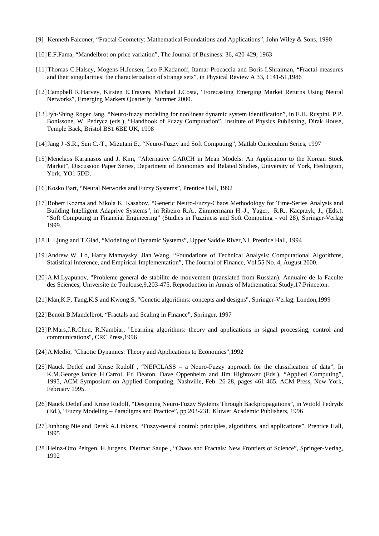- [9] Kenneth Falconer, "Fractal Geometry: Mathematical Foundations and Applications", John Wiley & Sons, 1990
- [10]E.F.Fama, "Mandelbrot on price variation", The Journal of Business: 36, 420-429, 1963
- [11]Thomas C.Halsey, Mogens H.Jensen, Leo P.Kadanoff, Itamar Procaccia and Boris I.Shraiman, "Fractal measures and their singularities: the characterization of strange sets", in Physical Review A 33, 1141-51,1986
- [12]Campbell R.Harvey, Kirsten E.Travers, Michael J.Costa, "Forecasting Emerging Market Returns Using Neural Networks", Emerging Markets Quarterly, Summer 2000.
- [13]Jyh-Shing Roger Jang, "Neuro-fuzzy modeling for nonlinear dynamic system identification", in E.H. Ruspini, P.P. Bonissone, W. Pedrycz (eds.), "Handbook of Fuzzy Computation", Institute of Physics Publishing, Dirak House, Temple Back, Bristol BS1 6BE UK, 1998
- [14]Jang J.-S.R., Sun C.-T., Mizutani E., "Neuro-Fuzzy and Soft Computing", Matlab Curicculum Series, 1997
- [15]Menelaos Karanasos and J. Kim, "Alternative GARCH in Mean Models: An Application to the Korean Stock Market", Discussion Paper Series, Department of Economics and Related Studies, University of York, Heslington, York, YO1 5DD.
- [16] Kosko Bart, "Neural Networks and Fuzzy Systems", Prentice Hall, 1992
- [17]Robert Kozma and Nikola K. Kasabov, "Generic Neuro-Fuzzy-Chaos Methodology for Time-Series Analysis and Building Intelligent Adaprive Systems", in Ribeiro R.A., Zimmermann H.-J., Yager, R.R., Kacprzyk, J., (Eds.). "Soft Computing in Financial Engineering" (Studies in Fuzziness and Soft Computing - vol 28), Springer-Verlag 1999.
- [18]L.Ljung and T.Glad, "Modeling of Dynamic Systems", Upper Saddle River,NJ, Prentice Hall, 1994
- [19]Andrew W. Lo, Harry Mamaysky, Jian Wang, "Foundations of Technical Analysis: Computational Algorithms, Statistical Inference, and Empirical Implementation", The Journal of Finance, Vol.55 No. 4, August 2000.
- [20]A.M.Lyapunov, "Probleme general de stabilite de mouvement (translated from Russian). Annuaire de la Faculte des Sciences, Universite de Toulouse,9,203-475, Reproduction in Annals of Mathematical Study,17.Princeton.
- [21]Man,K.F, Tang,K.S and Kwong.S, "Genetic algorithms: concepts and designs", Springer-Verlag, London,1999
- [22] Benoit B.Mandelbrot, "Fractals and Scaling in Finance", Springer, 1997
- [23]P.Mars,J.R.Chen, R.Nambiar, "Learning algorithms: theory and applications in signal processing, control and communications", CRC Press,1996
- [24]A.Medio, "Chaotic Dynamics: Theory and Applications to Economics",1992
- [25]Nauck Detlef and Kruse Rudolf, "NEFCLASS a Neuro-Fuzzy approach for the classification of data", In K.M.George,Janice H.Carrol, Ed Deaton, Dave Oppenheim and Jim Hightower (Eds.), "Applied Computing", 1995, ACM Symposium on Applied Computing, Nashville, Feb. 26-28, pages 461-465. ACM Press, New York, February 1995.
- [26]Nauck Detlef and Kruse Rudolf, "Designing Neuro-Fuzzy Systems Through Backpropagations", in Witold Pedrydz (Ed.), "Fuzzy Modeling – Paradigms and Practice", pp 203-231, Kluwer Academic Publishers, 1996
- [27]Junhong Nie and Derek A.Linkens, "Fuzzy-neural control: principles, algorithms, and applications", Prentice Hall, 1995
- [28]Heinz-Otto Peitgen, H.Jurgens, Dietmar Saupe , "Chaos and Fractals: New Frontiers of Science", Springer-Verlag, 1992